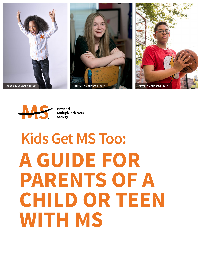







**National Multiple Sclerosis Society** 

# **Kids Get MS Too: A GUIDE FOR PARENTS OF A CHILD OR TEEN WITH MS**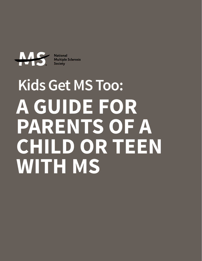

**National Multiple Sclerosis Society** 

# **Kids Get MS Too: A GUIDE FOR PARENTS OF A CHILD OR TEEN WITH MS**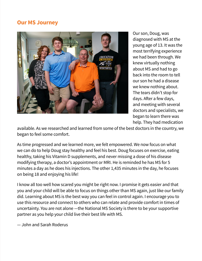# **Our MS Journey**



Our son, Doug, was diagnosed with MS at the young age of 13. It was the most terrifying experience we had been through. We knew virtually nothing about MS and had to go back into the room to tell our son he had a disease we knew nothing about. The tears didn't stop for days. After a few days, and meeting with several doctors and specialists, we began to learn there was help. They had medication

available. As we researched and learned from some of the best doctors in the country, we began to feel some comfort.

As time progressed and we learned more, we felt empowered. We now focus on what we can do to help Doug stay healthy and feel his best. Doug focuses on exercise, eating healthy, taking his Vitamin D supplements, and never missing a dose of his disease modifying therapy, a doctor's appointment or MRI. He is reminded he has MS for 5 minutes a day as he does his injections. The other 1,435 minutes in the day, he focuses on being 18 and enjoying his life!

I know all too well how scared you might be right now. I promise it gets easier and that you and your child will be able to focus on things other than MS again, just like our family did. Learning about MS is the best way you can feel in control again. I encourage you to use this resource and connect to others who can relate and provide comfort in times of uncertainty. You are not alone —the National MS Society is there to be your supportive partner as you help your child live their best life with MS.

— John and Sarah Roderus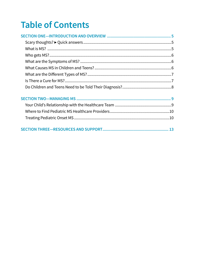# **Table of Contents**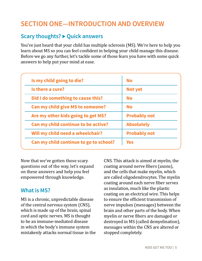# <span id="page-4-0"></span>**SECTION ONE—INTRODUCTION AND OVERVIEW**

#### **Scary thoughts? ▶ Quick answers**

You've just heard that your child has multiple sclerosis (MS). We're here to help you learn about MS so you can feel confident in helping your child manage this disease. Before we go any further, let's tackle some of those fears you have with some quick answers to help put your mind at ease.

| Is my child going to die?               | <b>No</b>           |
|-----------------------------------------|---------------------|
| Is there a cure?                        | Not yet             |
| Did I do something to cause this?       | <b>No</b>           |
| <b>Can my child give MS to someone?</b> | <b>No</b>           |
| Are my other kids going to get MS?      | <b>Probably not</b> |
| Can my child continue to be active?     | <b>Absolutely</b>   |
| Will my child need a wheelchair?        | <b>Probably not</b> |
| Can my child continue to go to school?  | <b>Yes</b>          |

Now that we've gotten those scary questions out of the way, let's expand on these answers and help you feel empowered through knowledge.

#### **What is MS?**

MS is a chronic, unpredictable disease of the central nervous system (CNS), which is made up of the brain, spinal cord and optic nerves. MS is thought to be an immune-mediated disease in which the body's immune system mistakenly attacks normal tissue in the CNS. This attack is aimed at myelin, the coating around nerve fibers (axons), and the cells that make myelin, which are called oligodendrocytes. The myelin coating around each nerve fiber serves as insulation, much like the plastic coating on an electrical wire. This helps to ensure the efficient transmission of nerve impulses (messages) between the brain and other parts of the body. When myelin or nerve fibers are damaged or destroyed in MS (called demyelination), messages within the CNS are altered or stopped completely.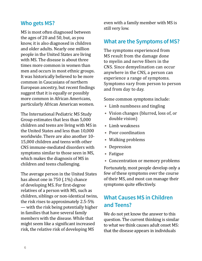### <span id="page-5-0"></span>**Who gets MS?**

MS is most often diagnosed between the ages of 20 and 50, but, as you know, it is also diagnosed in children and older adults. Nearly one million people in the United States are living with MS. The disease is about three times more common in women than men and occurs in most ethnic groups. It was historically believed to be more common in Caucasians of northern European ancestry, but recent findings suggest that it is equally or possibly more common in African Americans, particularly African American women.

The International Pediatric MS Study Group estimates that less than 5,000 children and teens are living with MS in the United States and less than 10,000 worldwide. There are also another 10- 15,000 children and teens with other CNS immune-mediated disorders with symptoms similar to those seen in MS, which makes the diagnosis of MS in children and teens challenging.

The average person in the United States has about one in 750 (.1%) chance of developing MS. For first-degree relatives of a person with MS, such as children, siblings or non-identical twins, the risk rises to approximately 2.5-5% — with the risk being potentially higher in families that have several family members with the disease. While that might seem like a significant increased risk, the relative risk of developing MS

even with a family member with MS is still very low.

#### **What are the Symptoms of MS?**

The symptoms experienced from MS result from the damage done to myelin and nerve fibers in the CNS. Since demyelination can occur anywhere in the CNS, a person can experience a range of symptoms. Symptoms vary from person to person and from day to day.

Some common symptoms include:

- **•** Limb numbness and tingling
- **•** Vision changes (blurred, loss of, or double vision)
- **•** Limb weakness
- **•** Poor coordination
- **•** Walking problems
- **•** Depression
- **•** Fatigue
- **•** Concentration or memory problems

Fortunately, most people develop only a few of these symptoms over the course of their MS, and most can manage their symptoms quite effectively.

# **What Causes MS in Children and Teens?**

We do not yet know the answer to this question. The current thinking is similar to what we think causes adult onset MS: that the disease appears in individuals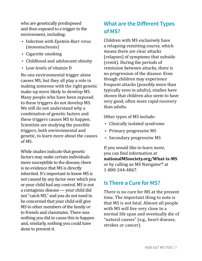<span id="page-6-0"></span>who are genetically predisposed and then exposed to a trigger in the environment, including:

- **•** Infection with Epstein-Barr virus (mononucleosis)
- **•** Cigarette smoking
- **•** Childhood and adolescent obesity
- **•** Low levels of vitamin D

No one environmental trigger alone causes MS, but they all play a role in making someone with the right genetic make-up more likely to develop MS. Many people who have been exposed to these triggers do not develop MS. We still do not understand why a combination of genetic factors and these triggers causes MS to happen. Scientists are studying the possible triggers, both environmental and genetic, to learn more about the causes of MS.

While studies indicate that genetic factors may make certain individuals more susceptible to the disease, there is no evidence that MS is directly inherited. It's important to know MS is not caused by any factor over which you or your child had any control. MS is not a contagious disease — your child did not "catch MS," and you do not need to be concerned that your child will give MS to other members of the family or to friends and classmates. There was nothing you did to cause this to happen and, similarly, nothing you could have done to prevent it.

# **What are the Different Types of MS?**

Children with MS exclusively have a relapsing-remitting course, which means there are clear attacks (relapses) of symptoms that subside (remit). During the periods of remission between attacks, there is no progression of the disease. Even though children may experience frequent attacks (possibly more than typically seen in adults), studies have shown that children also seem to have very good, often more rapid recovery than adults.

Other types of MS include:

- **•** Clinically isolated syndrome
- **•** Primary progressive MS
- **•** Secondary progressive MS

If you would like to learn more, you can find information at **[nationalMSsociety.org/What-is-MS](https://www.nationalmssociety.org/What-is-MS)** or by calling an MS Navigator® at 1-800-344-4867.

# **Is There a Cure for MS?**

There is no cure for MS at the present time. The important thing to note is that MS is not fatal. Almost all people with MS will live very close to a normal life span and eventually die of "natural causes" (e.g., heart disease, strokes or cancer).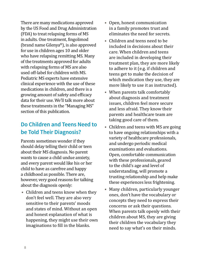<span id="page-7-0"></span>There are many medications approved by the US Food and Drug Administration (FDA) to treat relapsing forms of MS in adults. One treatment, fingolimod (brand name Gilenya®), is also approved for use in children ages 10 and older who have relapsing remitting MS. Many of the treatments approved for adults with relapsing forms of MS are also used off-label for children with MS. Pediatric MS experts have extensive clinical experience with the use of these medications in children, and there is a growing amount of safety and efficacy data for their use. We'll talk more about these treatments in the "Managing MS" section of this publication.

# **Do Children and Teens Need to be Told Their Diagnosis?**

Parents sometimes wonder if they should delay telling their child or teen about their MS diagnosis. No parent wants to cause a child undue anxiety, and every parent would like his or her child to have as carefree and happy a childhood as possible. There are, however, very good reasons for talking about the diagnosis openly:

**•** Children and teens know when they don't feel well. They are also very sensitive to their parents' moods and states of mind. Without an open and honest explanation of what is happening, they might use their own imaginations to fill in the blanks.

- **•** Open, honest communication in a family promotes trust and eliminates the need for secrets.
- **•** Children and teens need to be included in decisions about their care. When children and teens are included in developing their treatment plan, they are more likely to adhere to it (e.g. if children and teens get to make the decision of which medication they use, they are more likely to use it as instructed).
- **•** When parents talk comfortably about diagnosis and treatment issues, children feel more secure and less afraid. They know their parents and healthcare team are taking good care of them.
- **•** Children and teens with MS are going to have ongoing relationships with a variety of healthcare professionals, and undergo periodic medical examinations and evaluations. Open, comfortable communication with these professionals, geared to the child's age and level of understanding, will promote a trusting relationship and help make these experiences less frightening.
- **•** Many children, particularly younger ones, don't have the vocabulary or concepts they need to express their concerns or ask their questions. When parents talk openly with their children about MS, they are giving their children the vocabulary they need to say what's on their minds.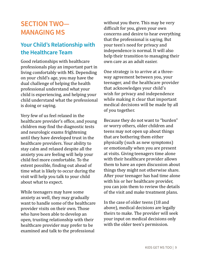# <span id="page-8-0"></span>**SECTION TWO— MANAGING MS**

# **Your Child's Relationship with the Healthcare Team**

Good relationships with healthcare professionals play an important part in living comfortably with MS. Depending on your child's age, you may have the dual challenge of helping the health professional understand what your child is experiencing, and helping your child understand what the professional is doing or saying.

Very few of us feel relaxed in the healthcare provider's office, and young children may find the diagnostic tests and neurologic exams frightening until they have developed trust in the healthcare providers. Your ability to stay calm and relaxed despite all the anxiety you are feeling will help your child feel more comfortable. To the extent possible, finding out ahead of time what is likely to occur during the visit will help you talk to your child about what to expect.

While teenagers may have some anxiety as well, they may gradually want to handle some of the healthcare provider visits on their own. Those who have been able to develop an open, trusting relationship with their healthcare provider may prefer to be examined and talk to the professional

without you there. This may be very difficult for you, given your own concerns and desire to hear everything that the professional is saying. But your teen's need for privacy and independence is normal. It will also help their transition to managing their own care as an adult easier.

One strategy is to arrive at a threeway agreement between you, your teenager, and the healthcare provider that acknowledges your child's wish for privacy and independence while making it clear that important medical decisions will be made by all of you together.

Because they do not want to "burden" or worry others, older children and teens may not open up about things that are bothering them either physically (such as new symptoms) or emotionally when you are present at visits. Giving teenagers time alone with their healthcare provider allows them to have an open discussion about things they might not otherwise share. After your teenager has had time alone with his or her healthcare provider, you can join them to review the details of the visit and make treatment plans.

In the case of older teens (18 and above), medical decisions are legally theirs to make. The provider will seek your input on medical decisions only with the older teen's permission.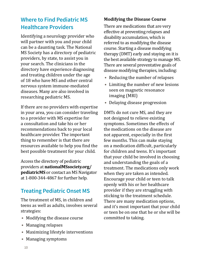# <span id="page-9-0"></span>**Where to Find Pediatric MS Healthcare Providers**

Identifying a neurology provider who will partner with you and your child can be a daunting task. The National MS Society has a directory of pediatric providers, by state, to assist you in your search. The clinicians in the directory have experience diagnosing and treating children under the age of 18 who have MS and other central nervous system immune-mediated diseases. Many are also involved in researching pediatric MS.

If there are no providers with expertise in your area, you can consider traveling to a provider with MS expertise for a consultation and take his or her recommendations back to your local healthcare provider. The important thing to remember is that there are resources available to help you find the best possible treatment for your child.

Access the directory of pediatric providers at **[nationalMSsociety.org/](https://www.nationalmssociety.org/What-is-MS/Who-Gets-MS/Pediatric-MS) [pediatricMS](https://www.nationalmssociety.org/What-is-MS/Who-Gets-MS/Pediatric-MS)** or contact an MS Navigator at 1-800-344-4867 for further help.

# **Treating Pediatric Onset MS**

The treatment of MS, in children and teens as well as adults, involves several strategies:

- **•** Modifying the disease course
- **•** Managing relapses
- **•** Maximizing lifestyle interventions
- **•** Managing symptoms

#### **Modifying the Disease Course**

There are medications that are very effective at preventing relapses and disability accumulation, which is referred to as modifying the disease course. Starting a disease modifying therapy (DMT) early and staying on it is the best available strategy to manage MS. There are several preventative goals of disease modifying therapies, including:

- **•** Reducing the number of relapses
- **•** Limiting the number of new lesions seen on magnetic resonance imaging (MRI)
- **•** Delaying disease progression

DMTs do not cure MS, and they are not designed to relieve existing symptoms. Sometimes the effects of the medications on the disease are not apparent, especially in the first few months. This can make staying on a medication difficult, particularly for children and teens. It's important that your child be involved in choosing and understanding the goals of a treatment. The medications only work when they are taken as intended. Encourage your child or teen to talk openly with his or her healthcare provider if they are struggling with sticking to the treatment schedule. There are many medication options, and it's most important that your child or teen be on one that he or she will be committed to taking.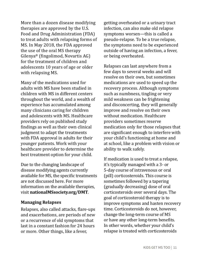More than a dozen disease modifying therapies are approved by the U.S. Food and Drug Administration (FDA) to treat adults with relapsing forms of MS. In May 2018, the FDA approved the use of the oral MS therapy Gilenya® (fingolimod, Novartis AG) for the treatment of children and adolescents 10 years of age or older with relapsing MS.

Many of the medications used for adults with MS have been studied in children with MS in different centers throughout the world, and a wealth of experience has accumulated among many clinicians caring for children and adolescents with MS. Healthcare providers rely on published study findings as well as their own clinical judgment to adapt the treatments with FDA approval in adults for their younger patients. Work with your healthcare provider to determine the best treatment option for your child.

Due to the changing landscape of disease modifying agents currently available for MS, the specific treatments are not discussed here. For more information on the available therapies, visit **[nationalMSsociety.org/DMT](https://www.nationalmssociety.org/Programs-and-Services/Resources/The-MS-Disease-Modifying-Medications-(-pdf)?page=1&orderby=3&order=asc)**.

#### **Managing Relapses**

Relapses, also called attacks, flare-ups and exacerbations, are periods of new or a recurrence of old symptoms that last in a constant fashion for 24 hours or more. Other things, like a fever,

getting overheated or a urinary tract infection, can also make old relapse symptoms worsen—this is called a pseudo-relapse. To be a true relapse, the symptoms need to be experienced outside of having an infection, a fever, or being overheated.

Relapses can last anywhere from a few days to several weeks and will resolve on their own, but sometimes medications are used to speed up the recovery process. Although symptoms such as numbness, tingling or very mild weakness can be frightening and disconcerting, they will generally improve and resolve on their own without medication. Healthcare providers sometimes reserve medication only for those relapses that are significant enough to interfere with your child's functioning at home and at school, like a problem with vision or ability to walk safely.

If medication is used to treat a relapse, it's typically managed with a 3- or 5-day course of intravenous or oral (pill) corticosteroids. This course is sometimes followed by a tapering (gradually decreasing) dose of oral corticosteroids over several days. The goal of corticosteroid therapy is to improve symptoms and hasten recovery time. Corticosteroids do not, however, change the long-term course of MS or have any other long-term benefits. In other words, whether your child's relapse is treated with corticosteroids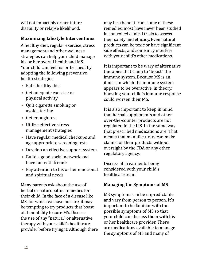will not impact his or her future disability or relapse likelihood.

#### **Maximizing Lifestyle Interventions**

A healthy diet, regular exercise, stress management and other wellness strategies can help your child manage his or her overall health and MS. Your child can feel his or her best by adopting the following preventive health strategies:

- **•** Eat a healthy diet
- **•** Get adequate exercise or physical activity
- **•** Quit cigarette smoking or avoid starting
- **•** Get enough rest
- **•** Utilize effective stress management strategies
- **•** Have regular medical checkups and age appropriate screening tests
- **•** Develop an effective support system
- **•** Build a good social network and have fun with friends
- **•** Pay attention to his or her emotional and spiritual needs

Many parents ask about the use of herbal or naturopathic remedies for their child. In the face of a disease like MS, for which we have no cure, it may be tempting to try products that boast of their ability to cure MS. Discuss the use of any "natural" or alternative therapy with your child's healthcare provider before trying it. Although there may be a benefit from some of these remedies, most have never been studied in controlled clinical trials to assess their safety and efficacy. Even natural products can be toxic or have significant side effects, and some may interfere with your child's other medications.

It is important to be wary of alternative therapies that claim to "boost" the immune system. Because MS is an illness in which the immune system appears to be overactive, in theory, boosting your child's immune response could worsen their MS.

It is also important to keep in mind that herbal supplements and other over-the-counter products are not regulated in the U.S. in the same way that prescribed medications are. That means that manufacturers can make claims for their products without oversight by the FDA or any other regulatory agency.

Discuss all treatments being considered with your child's healthcare team.

#### **Managing the Symptoms of MS**

MS symptoms can be unpredictable and vary from person to person. It's important to be familiar with the possible symptoms of MS so that your child can discuss them with his or her healthcare provider. There are medications available to manage the symptoms of MS and many of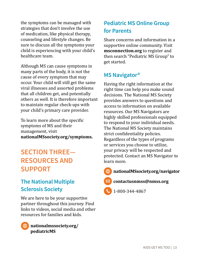<span id="page-12-0"></span>the symptoms can be managed with strategies that don't involve the use of medication, like physical therapy, counseling and lifestyle changes. Be sure to discuss all the symptoms your child is experiencing with your child's healthcare team.

Although MS can cause symptoms in many parts of the body, it is not the cause of every symptom that may occur. Your child will still get the same viral illnesses and assorted problems that all children get, and potentially others as well. It is therefore important to maintain regular check-ups with your child's primary care provider.

To learn more about the specific symptoms of MS and their management, visit **[nationalMSsociety.org/symptoms](https://www.nationalmssociety.org/Symptoms-Diagnosis/MS-Symptoms).**

# **SECTION THREE— RESOURCES AND SUPPORT**

# **The National Multiple Sclerosis Society**

We are here to be your supportive partner throughout this journey. Find links to videos, social media and other resources for families and kids.



**[nationalmssociety.org/](https://www.nationalmssociety.org/What-is-MS/Who-Gets-MS/Pediatric-MS) [pediatricMS](https://www.nationalmssociety.org/What-is-MS/Who-Gets-MS/Pediatric-MS)**

# **Pediatric MS Online Group for Parents**

Share concerns and information in a supportive online community. Visit **[msconnection.org](https://www.msconnection.org/)** to register and then search "Pediatric MS Group" to get started.

# **MS Navigator®**

Having the right information at the right time can help you make sound decisions. The National MS Society provides answers to questions and access to information on available resources. Our MS Navigators are highly skilled professionals equipped to respond to your individual needs. The National MS Society maintains strict confidentiality policies. Regardless of the types of programs or services you choose to utilize, your privacy will be respected and protected. Contact an MS Navigator to learn more.

**[nationalMSsociety.org/navigator](https://www.nationalmssociety.org/Resources-Support/Find-Support/Ask-an-MS-Navigator)** 

**[contactusnmss@nmss.org](mailto:contactusnmss%40nmss.org?subject=)**

1-800-344-4867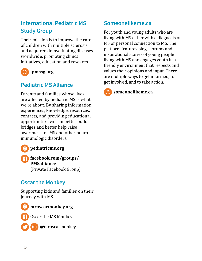# **International Pediatric MS Study Group**

Their mission is to improve the care of children with multiple sclerosis and acquired demyelinating diseases worldwide, promoting clinical initiatives, education and research.

# **[ipmssg.org](http://ipmssg.org)**

# **Pediatric MS Alliance**

Parents and families whose lives are affected by pediatric MS is what we're about. By sharing information, experiences, knowledge, resources, contacts, and providing educational opportunities, we can better build bridges and better help raise awareness for MS and other neuroimmunologic disorders.

- **[pediatricms.org](http://pediatricms.org/)**
- **[facebook.com/groups/](https://www.facebook.com/groups/PMSalliance) [PMSalliance](https://www.facebook.com/groups/PMSalliance)** (Private Facebook Group)

# **Oscar the Monkey**

Supporting kids and families on their journey with MS.



#### **[mroscarmonkey.org](http://mroscarmonkey.org/site/)**

Oscar the MS Monkey



@mroscarmonkey

# **Someonelikeme.ca**

For youth and young adults who are living with MS either with a diagnosis of MS or personal connection to MS. The platform features blogs, forums and inspirational stories of young people living with MS and engages youth in a friendly environment that respects and values their opinions and input. There are multiple ways to get informed, to get involved, and to take action.



**[someonelikeme.ca](https://someonelikeme.ca/)**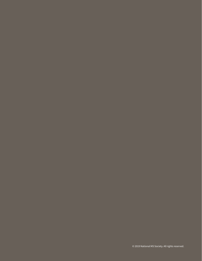$\odot$  2019 National MS Society. All rights reserved.